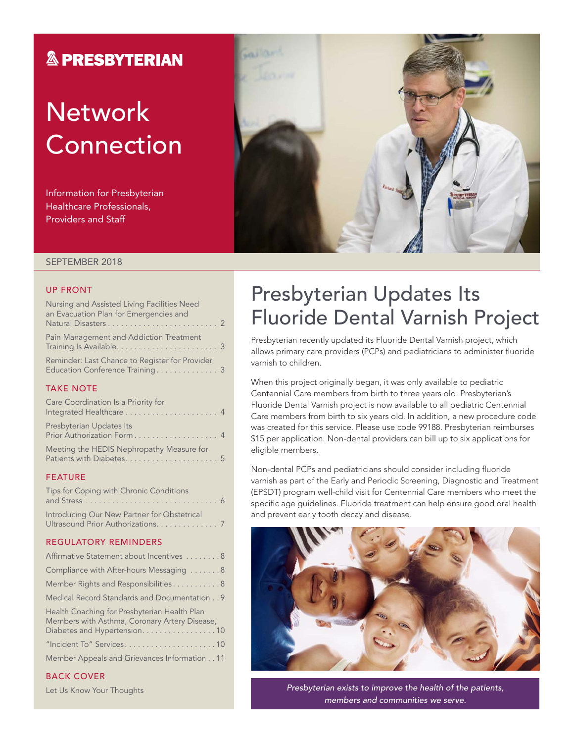### **& PRESBYTERIAN**

### **Network Connection**

Information for Presbyterian Healthcare Professionals, Providers and Staff



#### SEPTEMBER 2018

#### UP FRONT

| Nursing and Assisted Living Facilities Need<br>an Evacuation Plan for Emergencies and |  |
|---------------------------------------------------------------------------------------|--|
|                                                                                       |  |
| Pain Management and Addiction Treatment                                               |  |
| Reminder: Last Chance to Register for Provider<br>Education Conference Training 3     |  |

#### TAKE NOTE

| Care Coordination Is a Priority for                    |  |
|--------------------------------------------------------|--|
| Presbyterian Updates Its<br>Prior Authorization Form 4 |  |
| Meeting the HEDIS Nephropathy Measure for              |  |

#### FEATURE

| Tips for Coping with Chronic Conditions                                           |  |
|-----------------------------------------------------------------------------------|--|
| Introducing Our New Partner for Obstetrical<br>Ultrasound Prior Authorizations. 7 |  |

#### REGULATORY REMINDERS

| Affirmative Statement about Incentives 8                                                      |
|-----------------------------------------------------------------------------------------------|
| Compliance with After-hours Messaging 8                                                       |
| Member Rights and Responsibilities8                                                           |
| Medical Record Standards and Documentation 9                                                  |
| Health Coaching for Presbyterian Health Plan<br>Members with Asthma, Coronary Artery Disease, |

| Diabetes and Hypertension. 10                |
|----------------------------------------------|
| "Incident To" Services10                     |
| Member Appeals and Grievances Information 11 |

#### BACK COVER

Let Us Know Your Thoughts

### Presbyterian Updates Its Fluoride Dental Varnish Project

Presbyterian recently updated its Fluoride Dental Varnish project, which allows primary care providers (PCPs) and pediatricians to administer fluoride varnish to children.

When this project originally began, it was only available to pediatric Centennial Care members from birth to three years old. Presbyterian's Fluoride Dental Varnish project is now available to all pediatric Centennial Care members from birth to six years old. In addition, a new procedure code was created for this service. Please use code 99188. Presbyterian reimburses \$15 per application. Non-dental providers can bill up to six applications for eligible members.

Non-dental PCPs and pediatricians should consider including fluoride varnish as part of the Early and Periodic Screening, Diagnostic and Treatment (EPSDT) program well-child visit for Centennial Care members who meet the specific age guidelines. Fluoride treatment can help ensure good oral health and prevent early tooth decay and disease.



*Presbyterian exists to improve the health of the patients, members and communities we serve.*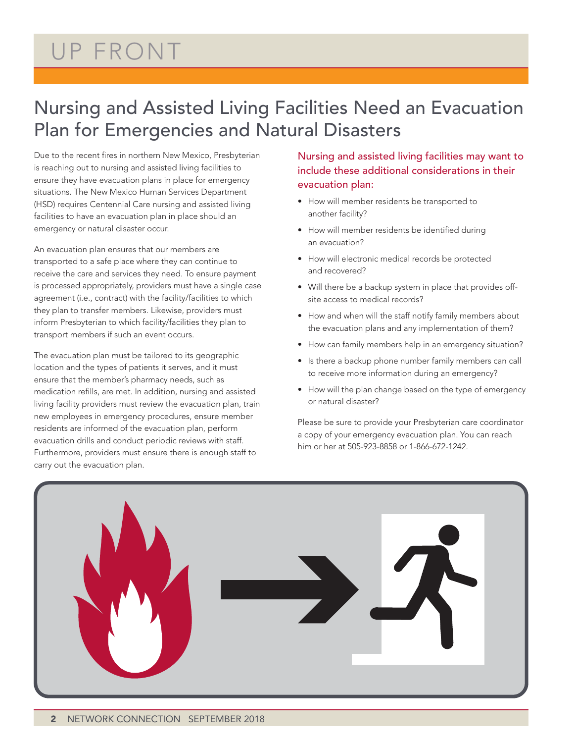### UP FRONT

### Nursing and Assisted Living Facilities Need an Evacuation Plan for Emergencies and Natural Disasters

Due to the recent fires in northern New Mexico, Presbyterian is reaching out to nursing and assisted living facilities to ensure they have evacuation plans in place for emergency situations. The New Mexico Human Services Department (HSD) requires Centennial Care nursing and assisted living facilities to have an evacuation plan in place should an emergency or natural disaster occur.

An evacuation plan ensures that our members are transported to a safe place where they can continue to receive the care and services they need. To ensure payment is processed appropriately, providers must have a single case agreement (i.e., contract) with the facility/facilities to which they plan to transfer members. Likewise, providers must inform Presbyterian to which facility/facilities they plan to transport members if such an event occurs.

The evacuation plan must be tailored to its geographic location and the types of patients it serves, and it must ensure that the member's pharmacy needs, such as medication refills, are met. In addition, nursing and assisted living facility providers must review the evacuation plan, train new employees in emergency procedures, ensure member residents are informed of the evacuation plan, perform evacuation drills and conduct periodic reviews with staff. Furthermore, providers must ensure there is enough staff to carry out the evacuation plan.

Nursing and assisted living facilities may want to include these additional considerations in their evacuation plan:

- How will member residents be transported to another facility?
- How will member residents be identified during an evacuation?
- How will electronic medical records be protected and recovered?
- Will there be a backup system in place that provides offsite access to medical records?
- How and when will the staff notify family members about the evacuation plans and any implementation of them?
- How can family members help in an emergency situation?
- Is there a backup phone number family members can call to receive more information during an emergency?
- How will the plan change based on the type of emergency or natural disaster?

Please be sure to provide your Presbyterian care coordinator a copy of your emergency evacuation plan. You can reach him or her at 505-923-8858 or 1-866-672-1242.

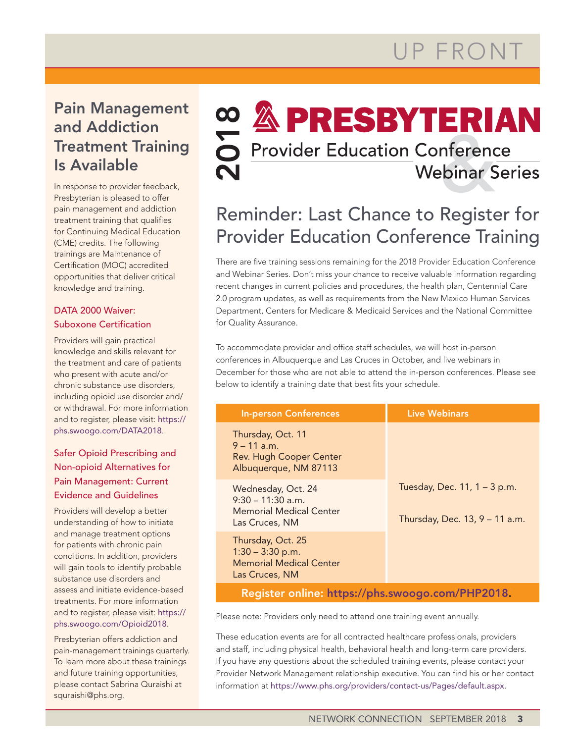### Pain Management and Addiction Treatment Training Is Available

In response to provider feedback, Presbyterian is pleased to offer pain management and addiction treatment training that qualifies for Continuing Medical Education (CME) credits. The following trainings are Maintenance of Certification (MOC) accredited opportunities that deliver critical knowledge and training.

#### DATA 2000 Waiver: Suboxone Certification

Providers will gain practical knowledge and skills relevant for the treatment and care of patients who present with acute and/or chronic substance use disorders, including opioid use disorder and/ or withdrawal. For more information and to register, please visit: [https://](https://phs.swoogo.com/DATA2018) [phs.swoogo.com/DATA2018](https://phs.swoogo.com/DATA2018).

#### Safer Opioid Prescribing and Non-opioid Alternatives for Pain Management: Current Evidence and Guidelines

Providers will develop a better understanding of how to initiate and manage treatment options for patients with chronic pain conditions. In addition, providers will gain tools to identify probable substance use disorders and assess and initiate evidence-based treatments. For more information and to register, please visit: [https://](https://phs.swoogo.com/Opioid2018) [phs.swoogo.com/Opioid2018](https://phs.swoogo.com/Opioid2018).

Presbyterian offers addiction and pain-management trainings quarterly. To learn more about these trainings and future training opportunities, please contact Sabrina Quraishi at [squraishi@phs.org](file:///\\ZWPDCFILEEFS09\groups\Provider_Services\PNM%20Communications\Newsletter%20Drafts\2018\5.%20September\squraishi@phs.org).

# **∞ & PRESBYTERIAN**<br>○ Provider Education Conference

**Webinar Series** 

### Reminder: Last Chance to Register for Provider Education Conference Training

There are five training sessions remaining for the 2018 Provider Education Conference and Webinar Series. Don't miss your chance to receive valuable information regarding recent changes in current policies and procedures, the health plan, Centennial Care 2.0 program updates, as well as requirements from the New Mexico Human Services Department, Centers for Medicare & Medicaid Services and the National Committee for Quality Assurance.

To accommodate provider and office staff schedules, we will host in-person conferences in Albuquerque and Las Cruces in October, and live webinars in December for those who are not able to attend the in-person conferences. Please see below to identify a training date that best fits your schedule.

| <b>In-person Conferences</b>                                                                 | <b>Live Webinars</b>                                           |  |
|----------------------------------------------------------------------------------------------|----------------------------------------------------------------|--|
| Thursday, Oct. 11<br>$9 - 11$ a m<br><b>Rev. Hugh Cooper Center</b><br>Albuquerque, NM 87113 |                                                                |  |
| Wednesday, Oct. 24<br>$9:30 - 11:30$ a.m.<br>Memorial Medical Center<br>Las Cruces, NM       | Tuesday, Dec. 11, 1 - 3 p.m.<br>Thursday, Dec. 13, 9 - 11 a.m. |  |
| Thursday, Oct. 25<br>$1:30 - 3:30$ p.m.<br><b>Memorial Medical Center</b><br>Las Cruces, NM  |                                                                |  |
| Register online: https://phs.swoogo.com/PHP2018.                                             |                                                                |  |

Please note: Providers only need to attend one training event annually.

These education events are for all contracted healthcare professionals, providers and staff, including physical health, behavioral health and long-term care providers. If you have any questions about the scheduled training events, please contact your Provider Network Management relationship executive. You can find his or her contact information at <https://www.phs.org/providers/contact-us/Pages/default.aspx>.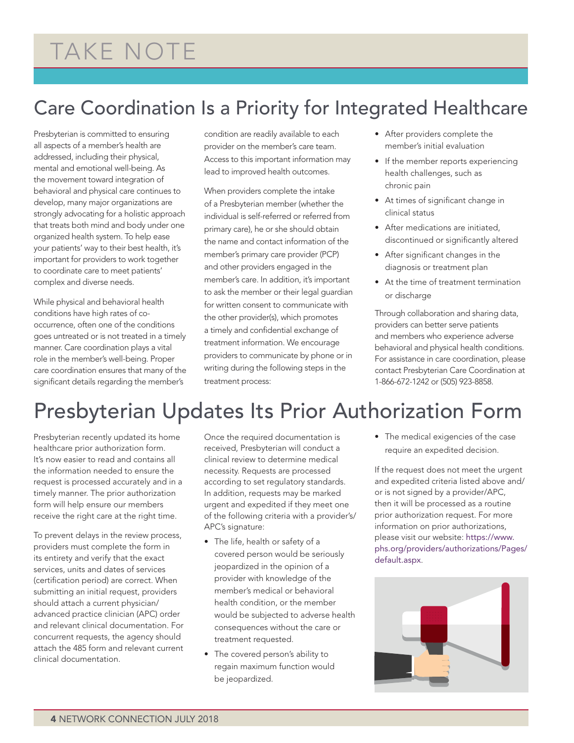### TAKE NOTE

### Care Coordination Is a Priority for Integrated Healthcare

Presbyterian is committed to ensuring all aspects of a member's health are addressed, including their physical, mental and emotional well-being. As the movement toward integration of behavioral and physical care continues to develop, many major organizations are strongly advocating for a holistic approach that treats both mind and body under one organized health system. To help ease your patients' way to their best health, it's important for providers to work together to coordinate care to meet patients' complex and diverse needs.

While physical and behavioral health conditions have high rates of cooccurrence, often one of the conditions goes untreated or is not treated in a timely manner. Care coordination plays a vital role in the member's well-being. Proper care coordination ensures that many of the significant details regarding the member's

condition are readily available to each provider on the member's care team. Access to this important information may lead to improved health outcomes.

When providers complete the intake of a Presbyterian member (whether the individual is self-referred or referred from primary care), he or she should obtain the name and contact information of the member's primary care provider (PCP) and other providers engaged in the member's care. In addition, it's important to ask the member or their legal guardian for written consent to communicate with the other provider(s), which promotes a timely and confidential exchange of treatment information. We encourage providers to communicate by phone or in writing during the following steps in the treatment process:

- After providers complete the member's initial evaluation
- If the member reports experiencing health challenges, such as chronic pain
- At times of significant change in clinical status
- After medications are initiated, discontinued or significantly altered
- After significant changes in the diagnosis or treatment plan
- At the time of treatment termination or discharge

Through collaboration and sharing data, providers can better serve patients and members who experience adverse behavioral and physical health conditions. For assistance in care coordination, please contact Presbyterian Care Coordination at 1-866-672-1242 or (505) 923-8858.

### Presbyterian Updates Its Prior Authorization Form

Presbyterian recently updated its home healthcare prior authorization form. It's now easier to read and contains all the information needed to ensure the request is processed accurately and in a timely manner. The prior authorization form will help ensure our members receive the right care at the right time.

To prevent delays in the review process, providers must complete the form in its entirety and verify that the exact services, units and dates of services (certification period) are correct. When submitting an initial request, providers should attach a current physician/ advanced practice clinician (APC) order and relevant clinical documentation. For concurrent requests, the agency should attach the 485 form and relevant current clinical documentation.

Once the required documentation is received, Presbyterian will conduct a clinical review to determine medical necessity. Requests are processed according to set regulatory standards. In addition, requests may be marked urgent and expedited if they meet one of the following criteria with a provider's/ APC's signature:

- The life, health or safety of a covered person would be seriously jeopardized in the opinion of a provider with knowledge of the member's medical or behavioral health condition, or the member would be subjected to adverse health consequences without the care or treatment requested.
- The covered person's ability to regain maximum function would be jeopardized.

• The medical exigencies of the case require an expedited decision.

If the request does not meet the urgent and expedited criteria listed above and/ or is not signed by a provider/APC, then it will be processed as a routine prior authorization request. For more information on prior authorizations, please visit our website: [https://www.](https://www.phs.org/providers/authorizations/Pages/default.aspx) [phs.org/providers/authorizations/Pages/](https://www.phs.org/providers/authorizations/Pages/default.aspx) [default.aspx](https://www.phs.org/providers/authorizations/Pages/default.aspx).

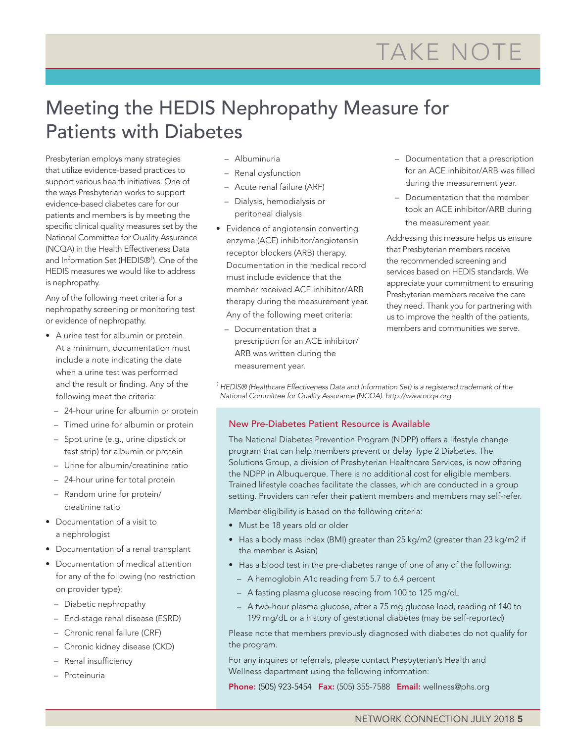### TAKE NOTE

## Patients with Diabetes

Meeting the HEDIS Nephropathy Measure for<br>  $\gamma_{\text{eff}}$  methods of the Block Connection of the Block Connection of the Block Connection of the Block Connection of the Block Connection of the Block Connection of the Block Co Presbyterian employs many strategies that utilize evidence-based practices to support various health initiatives. One of the ways Presbyterian works to support evidence-based diabetes care for our patients and members is by meeting the specific clinical quality measures set by the National Committee for Quality Assurance (NCQA) in the Health Effectiveness Data and Information Set (HEDIS®1 ). One of the HEDIS measures we would like to address is nephropathy.

Any of the following meet criteria for a nephropathy screening or monitoring test or evidence of nephropathy.

- A urine test for albumin or protein. At a minimum, documentation must include a note indicating the date when a urine test was performed and the result or finding. Any of the following meet the criteria:
	- 24-hour urine for albumin or protein
	- Timed urine for albumin or protein
	- Spot urine (e.g., urine dipstick or test strip) for albumin or protein
	- Urine for albumin/creatinine ratio
	- 24-hour urine for total protein
	- Random urine for protein/ creatinine ratio
- Documentation of a visit to a nephrologist
- Documentation of a renal transplant
- Documentation of medical attention for any of the following (no restriction on provider type):
	- Diabetic nephropathy
	- End-stage renal disease (ESRD)
	- Chronic renal failure (CRF)
	- Chronic kidney disease (CKD)
	- Renal insufficiency
	- Proteinuria
- Albuminuria
- Renal dysfunction
- Acute renal failure (ARF)
- Dialysis, hemodialysis or peritoneal dialysis
- Evidence of angiotensin converting enzyme (ACE) inhibitor/angiotensin receptor blockers (ARB) therapy. Documentation in the medical record must include evidence that the member received ACE inhibitor/ARB therapy during the measurement year. Any of the following meet criteria:
	- Documentation that a prescription for an ACE inhibitor/ ARB was written during the measurement year.
- Documentation that a prescription for an ACE inhibitor/ARB was filled during the measurement year.
- Documentation that the member took an ACE inhibitor/ARB during the measurement year.

Addressing this measure helps us ensure that Presbyterian members receive the recommended screening and services based on HEDIS standards. We appreciate your commitment to ensuring Presbyterian members receive the care they need. Thank you for partnering with us to improve the health of the patients, members and communities we serve.

*1 HEDIS® (Healthcare Effectiveness Data and Information Set) is a registered trademark of the National Committee for Quality Assurance (NCQA).<http://www.ncqa.org>.*

#### New Pre-Diabetes Patient Resource is Available

The National Diabetes Prevention Program (NDPP) offers a lifestyle change program that can help members prevent or delay Type 2 Diabetes. The Solutions Group, a division of Presbyterian Healthcare Services, is now offering the NDPP in Albuquerque. There is no additional cost for eligible members. Trained lifestyle coaches facilitate the classes, which are conducted in a group setting. Providers can refer their patient members and members may self-refer.

Member eligibility is based on the following criteria:

- Must be 18 years old or older
- Has a body mass index (BMI) greater than 25 kg/m2 (greater than 23 kg/m2 if the member is Asian)
- Has a blood test in the pre-diabetes range of one of any of the following:
	- A hemoglobin A1c reading from 5.7 to 6.4 percent
	- A fasting plasma glucose reading from 100 to 125 mg/dL
	- A two-hour plasma glucose, after a 75 mg glucose load, reading of 140 to 199 mg/dL or a history of gestational diabetes (may be self-reported)

Please note that members previously diagnosed with diabetes do not qualify for the program.

For any inquires or referrals, please contact Presbyterian's Health and Wellness department using the following information:

Phone: (505) 923-5454 Fax: (505) 355-7588 Email: wellness@phs.org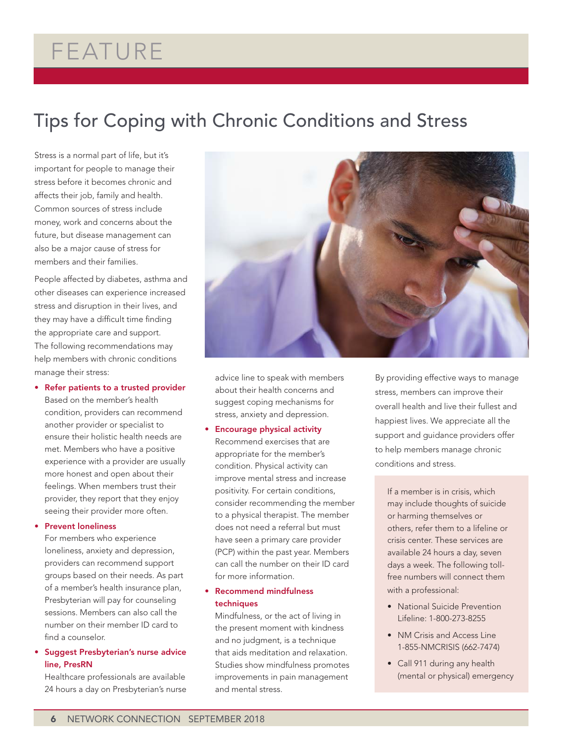### FEATURE

### Tips for Coping with Chronic Conditions and Stress

Stress is a normal part of life, but it's important for people to manage their stress before it becomes chronic and affects their job, family and health. Common sources of stress include money, work and concerns about the future, but disease management can also be a major cause of stress for members and their families.

People affected by diabetes, asthma and other diseases can experience increased stress and disruption in their lives, and they may have a difficult time finding the appropriate care and support. The following recommendations may help members with chronic conditions manage their stress:

• Refer patients to a trusted provider

Based on the member's health condition, providers can recommend another provider or specialist to ensure their holistic health needs are met. Members who have a positive experience with a provider are usually more honest and open about their feelings. When members trust their provider, they report that they enjoy seeing their provider more often.

#### • Prevent loneliness

For members who experience loneliness, anxiety and depression, providers can recommend support groups based on their needs. As part of a member's health insurance plan, Presbyterian will pay for counseling sessions. Members can also call the number on their member ID card to find a counselor.

#### • Suggest Presbyterian's nurse advice line, PresRN

Healthcare professionals are available 24 hours a day on Presbyterian's nurse



advice line to speak with members about their health concerns and suggest coping mechanisms for stress, anxiety and depression.

#### • Encourage physical activity

Recommend exercises that are appropriate for the member's condition. Physical activity can improve mental stress and increase positivity. For certain conditions, consider recommending the member to a physical therapist. The member does not need a referral but must have seen a primary care provider (PCP) within the past year. Members can call the number on their ID card for more information.

#### • Recommend mindfulness techniques

Mindfulness, or the act of living in the present moment with kindness and no judgment, is a technique that aids meditation and relaxation. Studies show mindfulness promotes improvements in pain management and mental stress.

By providing effective ways to manage stress, members can improve their overall health and live their fullest and happiest lives. We appreciate all the support and guidance providers offer to help members manage chronic conditions and stress.

If a member is in crisis, which may include thoughts of suicide or harming themselves or others, refer them to a lifeline or crisis center. These services are available 24 hours a day, seven days a week. The following tollfree numbers will connect them with a professional:

- National Suicide Prevention Lifeline: 1-800-273-8255
- NM Crisis and Access Line 1-855-NMCRISIS (662-7474)
- Call 911 during any health (mental or physical) emergency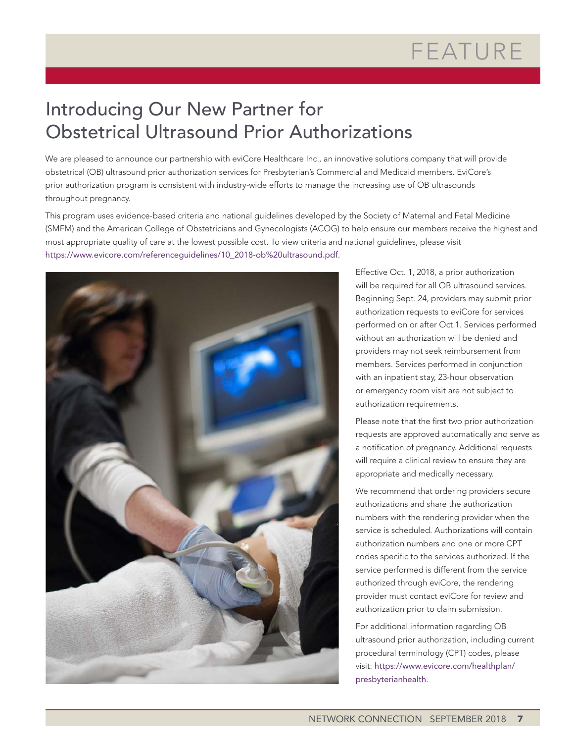### Introducing Our New Partner for Obstetrical Ultrasound Prior Authorizations

We are pleased to announce our partnership with eviCore Healthcare Inc., an innovative solutions company that will provide obstetrical (OB) ultrasound prior authorization services for Presbyterian's Commercial and Medicaid members. EviCore's prior authorization program is consistent with industry-wide efforts to manage the increasing use of OB ultrasounds throughout pregnancy.

This program uses evidence-based criteria and national guidelines developed by the Society of Maternal and Fetal Medicine (SMFM) and the American College of Obstetricians and Gynecologists (ACOG) to help ensure our members receive the highest and most appropriate quality of care at the lowest possible cost. To view criteria and national guidelines, please visit [https://www.evicore.com/referenceguidelines/10\\_2018-ob%20ultrasound.pdf](https://www.evicore.com/referenceguidelines/10_2018-ob%20ultrasound.pdf).



Effective Oct. 1, 2018, a prior authorization will be required for all OB ultrasound services. Beginning Sept. 24, providers may submit prior authorization requests to eviCore for services performed on or after Oct.1. Services performed without an authorization will be denied and providers may not seek reimbursement from members. Services performed in conjunction with an inpatient stay, 23-hour observation or emergency room visit are not subject to authorization requirements.

Please note that the first two prior authorization requests are approved automatically and serve as a notification of pregnancy. Additional requests will require a clinical review to ensure they are appropriate and medically necessary.

We recommend that ordering providers secure authorizations and share the authorization numbers with the rendering provider when the service is scheduled. Authorizations will contain authorization numbers and one or more CPT codes specific to the services authorized. If the service performed is different from the service authorized through eviCore, the rendering provider must contact eviCore for review and authorization prior to claim submission.

For additional information regarding OB ultrasound prior authorization, including current procedural terminology (CPT) codes, please visit: [https://www.evicore.com/healthplan/](https://www.evicore.com/healthplan/presbyterianhealth) [presbyterianhealth](https://www.evicore.com/healthplan/presbyterianhealth).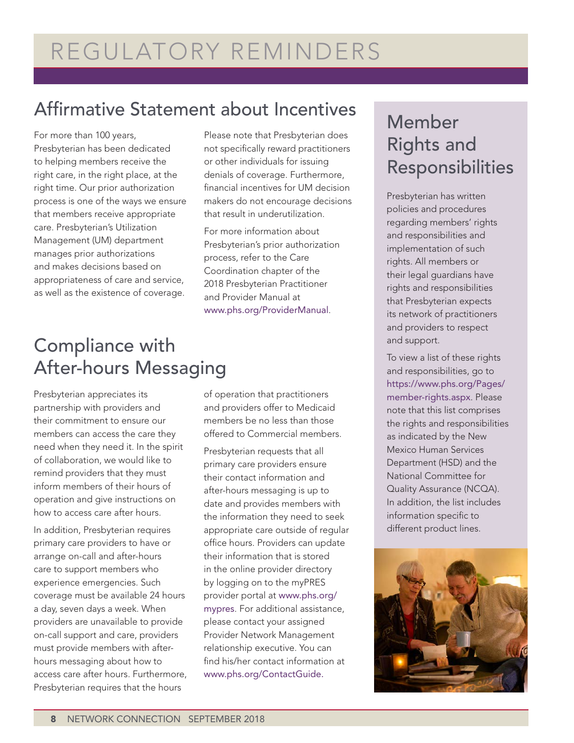### Affirmative Statement about Incentives

For more than 100 years, Presbyterian has been dedicated to helping members receive the right care, in the right place, at the right time. Our prior authorization process is one of the ways we ensure that members receive appropriate care. Presbyterian's Utilization Management (UM) department manages prior authorizations and makes decisions based on appropriateness of care and service, as well as the existence of coverage.

### Compliance with After-hours Messaging

Presbyterian appreciates its partnership with providers and their commitment to ensure our members can access the care they need when they need it. In the spirit of collaboration, we would like to remind providers that they must inform members of their hours of operation and give instructions on how to access care after hours.

In addition, Presbyterian requires primary care providers to have or arrange on-call and after-hours care to support members who experience emergencies. Such coverage must be available 24 hours a day, seven days a week. When providers are unavailable to provide on-call support and care, providers must provide members with afterhours messaging about how to access care after hours. Furthermore, Presbyterian requires that the hours

or other individuals for issuing denials of coverage. Furthermore, financial incentives for UM decision makers do not encourage decisions that result in underutilization. For more information about

Please note that Presbyterian does not specifically reward practitioners

Presbyterian's prior authorization process, refer to the Care Coordination chapter of the 2018 Presbyterian Practitioner and Provider Manual at [www.phs.org/ProviderManual](http://www.phs.org/ProviderManual).

of operation that practitioners and providers offer to Medicaid members be no less than those offered to Commercial members.

Presbyterian requests that all primary care providers ensure their contact information and after-hours messaging is up to date and provides members with the information they need to seek appropriate care outside of regular office hours. Providers can update their information that is stored in the online provider directory by logging on to the myPRES provider portal at [www.phs.org/](http://www.phs.org/mypres) [mypres](http://www.phs.org/mypres). For additional assistance, please contact your assigned Provider Network Management relationship executive. You can find his/her contact information at [www.phs.org/ContactGuide.](http://www.phs.org/ContactGuide)

### Member Rights and Responsibilities

Presbyterian has written policies and procedures regarding members' rights and responsibilities and implementation of such rights. All members or their legal guardians have rights and responsibilities that Presbyterian expects its network of practitioners and providers to respect and support.

To view a list of these rights and responsibilities, go to [https://www.phs.org/Pages/](https://www.phs.org/Pages/member-rights.aspx) [member-rights.aspx](https://www.phs.org/Pages/member-rights.aspx). Please note that this list comprises the rights and responsibilities as indicated by the New Mexico Human Services Department (HSD) and the National Committee for Quality Assurance (NCQA). In addition, the list includes information specific to different product lines.

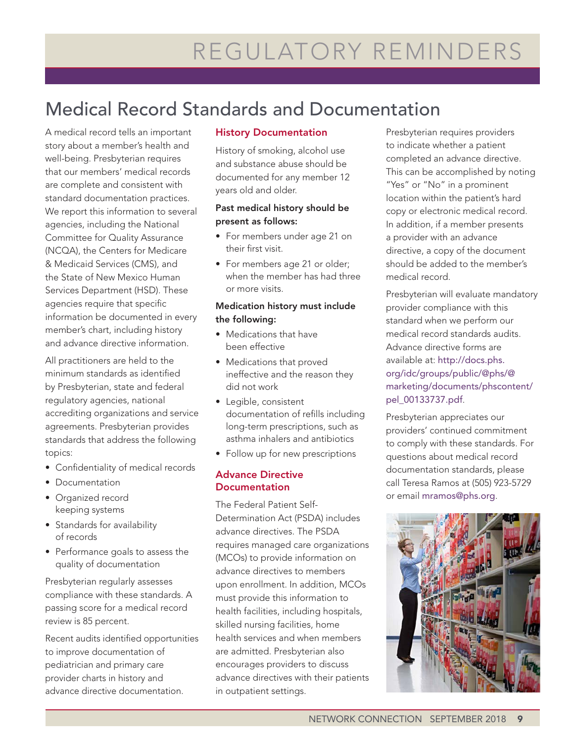### Medical Record Standards and Documentation

A medical record tells an important story about a member's health and well-being. Presbyterian requires that our members' medical records are complete and consistent with standard documentation practices. We report this information to several agencies, including the National Committee for Quality Assurance (NCQA), the Centers for Medicare & Medicaid Services (CMS), and the State of New Mexico Human Services Department (HSD). These agencies require that specific information be documented in every member's chart, including history and advance directive information.

All practitioners are held to the minimum standards as identified by Presbyterian, state and federal regulatory agencies, national accrediting organizations and service agreements. Presbyterian provides standards that address the following topics:

- Confidentiality of medical records
- Documentation
- Organized record keeping systems
- Standards for availability of records
- Performance goals to assess the quality of documentation

Presbyterian regularly assesses compliance with these standards. A passing score for a medical record review is 85 percent.

Recent audits identified opportunities to improve documentation of pediatrician and primary care provider charts in history and advance directive documentation.

#### History Documentation

History of smoking, alcohol use and substance abuse should be documented for any member 12 years old and older.

#### Past medical history should be present as follows:

- For members under age 21 on their first visit.
- For members age 21 or older; when the member has had three or more visits.

#### Medication history must include the following:

- Medications that have been effective
- Medications that proved ineffective and the reason they did not work
- Legible, consistent documentation of refills including long-term prescriptions, such as asthma inhalers and antibiotics
- Follow up for new prescriptions

#### Advance Directive **Documentation**

The Federal Patient Self-Determination Act (PSDA) includes advance directives. The PSDA requires managed care organizations (MCOs) to provide information on advance directives to members upon enrollment. In addition, MCOs must provide this information to health facilities, including hospitals, skilled nursing facilities, home health services and when members are admitted. Presbyterian also encourages providers to discuss advance directives with their patients in outpatient settings.

Presbyterian requires providers to indicate whether a patient completed an advance directive. This can be accomplished by noting "Yes" or "No" in a prominent location within the patient's hard copy or electronic medical record. In addition, if a member presents a provider with an advance directive, a copy of the document should be added to the member's medical record.

Presbyterian will evaluate mandatory provider compliance with this standard when we perform our medical record standards audits. Advance directive forms are available at: [http://docs.phs.](http://docs.phs.org/idc/groups/public/@phs/@marketing/documents/phscontent/pel_00133737.pdf) [org/idc/groups/public/@phs/@](http://docs.phs.org/idc/groups/public/@phs/@marketing/documents/phscontent/pel_00133737.pdf) [marketing/documents/phscontent/](http://docs.phs.org/idc/groups/public/@phs/@marketing/documents/phscontent/pel_00133737.pdf) [pel\\_00133737.pdf](http://docs.phs.org/idc/groups/public/@phs/@marketing/documents/phscontent/pel_00133737.pdf).

Presbyterian appreciates our providers' continued commitment to comply with these standards. For questions about medical record documentation standards, please call Teresa Ramos at (505) 923-5729 or email [mramos@phs.org](mailto:mramos@phs.org).

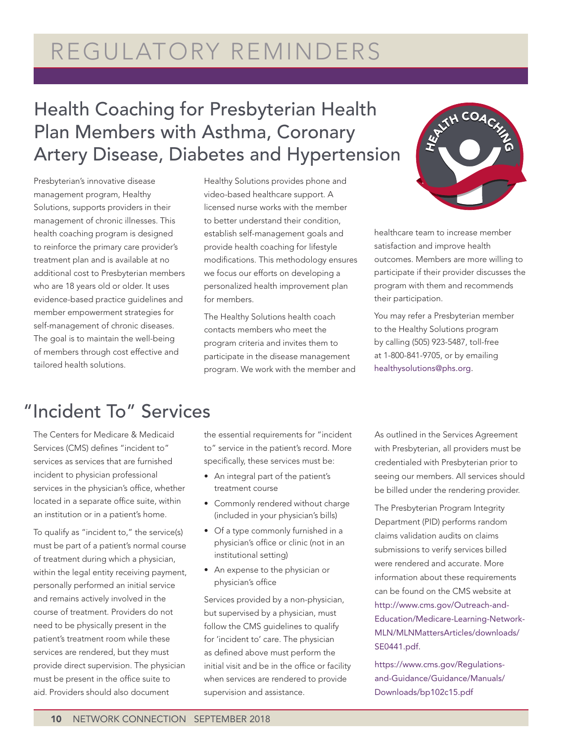### REGULATORY REMINDERS

### Health Coaching for Presbyterian Health Plan Members with Asthma, Coronary Artery Disease, Diabetes and Hypertension

Presbyterian's innovative disease management program, Healthy Solutions, supports providers in their management of chronic illnesses. This health coaching program is designed to reinforce the primary care provider's treatment plan and is available at no additional cost to Presbyterian members who are 18 years old or older. It uses evidence-based practice guidelines and member empowerment strategies for self-management of chronic diseases. The goal is to maintain the well-being of members through cost effective and tailored health solutions.

Healthy Solutions provides phone and video-based healthcare support. A licensed nurse works with the member to better understand their condition, establish self-management goals and provide health coaching for lifestyle modifications. This methodology ensures we focus our efforts on developing a personalized health improvement plan for members.

The Healthy Solutions health coach contacts members who meet the program criteria and invites them to participate in the disease management program. We work with the member and



healthcare team to increase member satisfaction and improve health outcomes. Members are more willing to participate if their provider discusses the program with them and recommends their participation.

You may refer a Presbyterian member to the Healthy Solutions program by calling (505) 923-5487, toll-free at 1-800-841-9705, or by emailing [healthysolutions@phs.org](mailto:healthysolutions@phs.org).

### "Incident To" Services

The Centers for Medicare & Medicaid Services (CMS) defines "incident to" services as services that are furnished incident to physician professional services in the physician's office, whether located in a separate office suite, within an institution or in a patient's home.

To qualify as "incident to," the service(s) must be part of a patient's normal course of treatment during which a physician, within the legal entity receiving payment, personally performed an initial service and remains actively involved in the course of treatment. Providers do not need to be physically present in the patient's treatment room while these services are rendered, but they must provide direct supervision. The physician must be present in the office suite to aid. Providers should also document

the essential requirements for "incident to" service in the patient's record. More specifically, these services must be:

- An integral part of the patient's treatment course
- Commonly rendered without charge (included in your physician's bills)
- Of a type commonly furnished in a physician's office or clinic (not in an institutional setting)
- An expense to the physician or physician's office

Services provided by a non-physician, but supervised by a physician, must follow the CMS guidelines to qualify for 'incident to' care. The physician as defined above must perform the initial visit and be in the office or facility when services are rendered to provide supervision and assistance.

As outlined in the Services Agreement with Presbyterian, all providers must be credentialed with Presbyterian prior to seeing our members. All services should be billed under the rendering provider.

The Presbyterian Program Integrity Department (PID) performs random claims validation audits on claims submissions to verify services billed were rendered and accurate. More information about these requirements can be found on the CMS website at [http://www.cms.gov/Outreach-and-](http://www.cms.gov/Outreach-and-Education/Medicare-Learning-Network-MLN/MLNMattersArticles/downloads/SE0441.pdf)[Education/Medicare-Learning-Network-](http://www.cms.gov/Outreach-and-Education/Medicare-Learning-Network-MLN/MLNMattersArticles/downloads/SE0441.pdf)[MLN/MLNMattersArticles/downloads/](http://www.cms.gov/Outreach-and-Education/Medicare-Learning-Network-MLN/MLNMattersArticles/downloads/SE0441.pdf) [SE0441.pdf](http://www.cms.gov/Outreach-and-Education/Medicare-Learning-Network-MLN/MLNMattersArticles/downloads/SE0441.pdf).

[https://www.cms.gov/Regulations](https://www.cms.gov/Regulations-and-Guidance/Guidance/Manuals/Downloads/bp102c15.pdf)[and-Guidance/Guidance/Manuals/](https://www.cms.gov/Regulations-and-Guidance/Guidance/Manuals/Downloads/bp102c15.pdf) [Downloads/bp102c15.pdf](https://www.cms.gov/Regulations-and-Guidance/Guidance/Manuals/Downloads/bp102c15.pdf)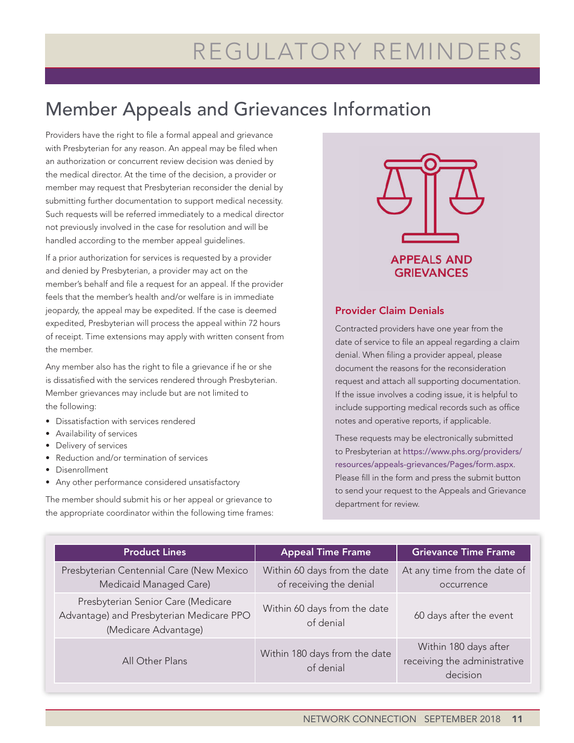### REGULATORY REMINDERS

### Member Appeals and Grievances Information

Providers have the right to file a formal appeal and grievance with Presbyterian for any reason. An appeal may be filed when an authorization or concurrent review decision was denied by the medical director. At the time of the decision, a provider or member may request that Presbyterian reconsider the denial by submitting further documentation to support medical necessity. Such requests will be referred immediately to a medical director not previously involved in the case for resolution and will be handled according to the member appeal guidelines.

If a prior authorization for services is requested by a provider and denied by Presbyterian, a provider may act on the member's behalf and file a request for an appeal. If the provider feels that the member's health and/or welfare is in immediate jeopardy, the appeal may be expedited. If the case is deemed expedited, Presbyterian will process the appeal within 72 hours of receipt. Time extensions may apply with written consent from the member.

Any member also has the right to file a grievance if he or she is dissatisfied with the services rendered through Presbyterian. Member grievances may include but are not limited to the following:

- Dissatisfaction with services rendered
- Availability of services
- Delivery of services
- Reduction and/or termination of services
- Disenrollment
- Any other performance considered unsatisfactory

The member should submit his or her appeal or grievance to the appropriate coordinator within the following time frames:



#### Provider Claim Denials

Contracted providers have one year from the date of service to file an appeal regarding a claim denial. When filing a provider appeal, please document the reasons for the reconsideration request and attach all supporting documentation. If the issue involves a coding issue, it is helpful to include supporting medical records such as office notes and operative reports, if applicable.

These requests may be electronically submitted to Presbyterian at [https://www.phs.org/providers/](https://www.phs.org/providers/resources/appeals-grievances/Pages/form.aspx) [resources/appeals-grievances/Pages/form.aspx](https://www.phs.org/providers/resources/appeals-grievances/Pages/form.aspx). Please fill in the form and press the submit button to send your request to the Appeals and Grievance department for review.

| <b>Product Lines</b>                                                                                   | <b>Appeal Time Frame</b>                                | <b>Grievance Time Frame</b>                                       |
|--------------------------------------------------------------------------------------------------------|---------------------------------------------------------|-------------------------------------------------------------------|
| Presbyterian Centennial Care (New Mexico<br>Medicaid Managed Care)                                     | Within 60 days from the date<br>of receiving the denial | At any time from the date of<br>occurrence                        |
| Presbyterian Senior Care (Medicare<br>Advantage) and Presbyterian Medicare PPO<br>(Medicare Advantage) | Within 60 days from the date<br>of denial               | 60 days after the event                                           |
| All Other Plans                                                                                        | Within 180 days from the date<br>of denial              | Within 180 days after<br>receiving the administrative<br>decision |